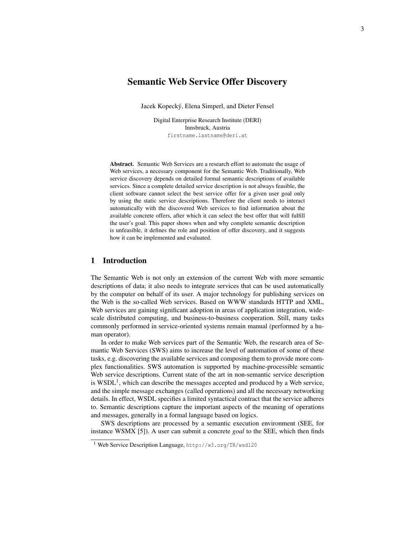# Semantic Web Service Offer Discovery

Jacek Kopecky, Elena Simperl, and Dieter Fensel ´

Digital Enterprise Research Institute (DERI) Innsbruck, Austria firstname.lastname@deri.at

Abstract. Semantic Web Services are a research effort to automate the usage of Web services, a necessary component for the Semantic Web. Traditionally, Web service discovery depends on detailed formal semantic descriptions of available services. Since a complete detailed service description is not always feasible, the client software cannot select the best service offer for a given user goal only by using the static service descriptions. Therefore the client needs to interact automatically with the discovered Web services to find information about the available concrete offers, after which it can select the best offer that will fulfill the user's goal. This paper shows when and why complete semantic description is unfeasible, it defines the role and position of offer discovery, and it suggests how it can be implemented and evaluated.

## 1 Introduction

The Semantic Web is not only an extension of the current Web with more semantic descriptions of data; it also needs to integrate services that can be used automatically by the computer on behalf of its user. A major technology for publishing services on the Web is the so-called Web services. Based on WWW standards HTTP and XML, Web services are gaining significant adoption in areas of application integration, widescale distributed computing, and business-to-business cooperation. Still, many tasks commonly performed in service-oriented systems remain manual (performed by a human operator).

In order to make Web services part of the Semantic Web, the research area of Semantic Web Services (SWS) aims to increase the level of automation of some of these tasks, e.g. discovering the available services and composing them to provide more complex functionalities. SWS automation is supported by machine-processible semantic Web service descriptions. Current state of the art in non-semantic service description is  $WSDL<sup>1</sup>$ , which can describe the messages accepted and produced by a Web service, and the simple message exchanges (called operations) and all the necessary networking details. In effect, WSDL specifies a limited syntactical contract that the service adheres to. Semantic descriptions capture the important aspects of the meaning of operations and messages, generally in a formal language based on logics.

SWS descriptions are processed by a semantic execution environment (SEE, for instance WSMX [5]). A user can submit a concrete *goal* to the SEE, which then finds

<sup>1</sup> Web Service Description Language, http://w3.org/TR/wsdl20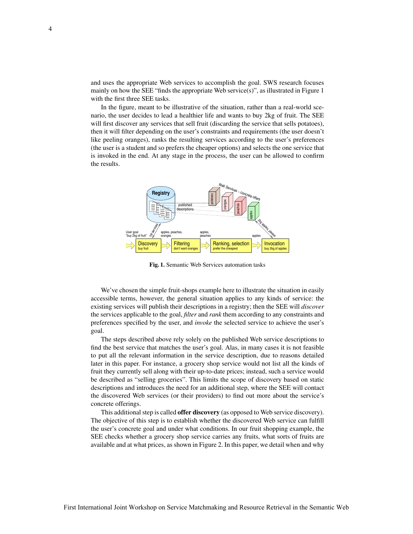and uses the appropriate Web services to accomplish the goal. SWS research focuses mainly on how the SEE "finds the appropriate Web service(s)", as illustrated in Figure 1 with the first three SEE tasks.

In the figure, meant to be illustrative of the situation, rather than a real-world scenario, the user decides to lead a healthier life and wants to buy 2kg of fruit. The SEE will first discover any services that sell fruit (discarding the service that sells potatoes), then it will filter depending on the user's constraints and requirements (the user doesn't like peeling oranges), ranks the resulting services according to the user's preferences (the user is a student and so prefers the cheaper options) and selects the one service that is invoked in the end. At any stage in the process, the user can be allowed to confirm the results.



Fig. 1. Semantic Web Services automation tasks

We've chosen the simple fruit-shops example here to illustrate the situation in easily accessible terms, however, the general situation applies to any kinds of service: the existing services will publish their descriptions in a registry; then the SEE will *discover* the services applicable to the goal, *filter* and *rank* them according to any constraints and preferences specified by the user, and *invoke* the selected service to achieve the user's goal.

The steps described above rely solely on the published Web service descriptions to find the best service that matches the user's goal. Alas, in many cases it is not feasible to put all the relevant information in the service description, due to reasons detailed later in this paper. For instance, a grocery shop service would not list all the kinds of fruit they currently sell along with their up-to-date prices; instead, such a service would be described as "selling groceries". This limits the scope of discovery based on static descriptions and introduces the need for an additional step, where the SEE will contact the discovered Web services (or their providers) to find out more about the service's concrete offerings.

This additional step is called **offer discovery** (as opposed to Web service discovery). The objective of this step is to establish whether the discovered Web service can fulfill the user's concrete goal and under what conditions. In our fruit shopping example, the SEE checks whether a grocery shop service carries any fruits, what sorts of fruits are available and at what prices, as shown in Figure 2. In this paper, we detail when and why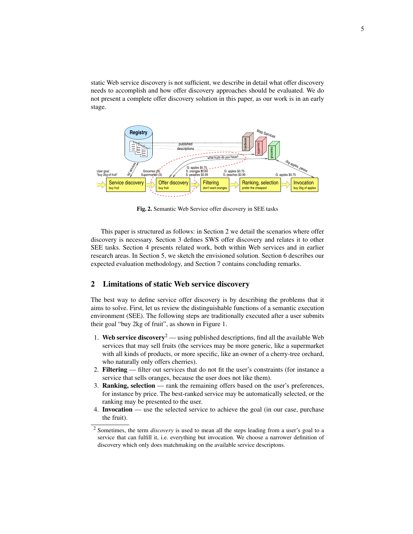static Web service discovery is not sufficient, we describe in detail what offer discovery needs to accomplish and how offer discovery approaches should be evaluated. We do not present a complete offer discovery solution in this paper, as our work is in an early stage.



Fig. 2. Semantic Web Service offer discovery in SEE tasks

This paper is structured as follows: in Section 2 we detail the scenarios where offer discovery is necessary. Section 3 defines SWS offer discovery and relates it to other SEE tasks. Section 4 presents related work, both within Web services and in earlier research areas. In Section 5, we sketch the envisioned solution. Section 6 describes our expected evaluation methodology, and Section 7 contains concluding remarks.

#### 2 Limitations of static Web service discovery

The best way to define service offer discovery is by describing the problems that it aims to solve. First, let us review the distinguishable functions of a semantic execution environment (SEE). The following steps are traditionally executed after a user submits their goal "buy 2kg of fruit", as shown in Figure 1.

- 1. Web service discovery<sup>2</sup> using published descriptions, find all the available Web services that may sell fruits (the services may be more generic, like a supermarket with all kinds of products, or more specific, like an owner of a cherry-tree orchard, who naturally only offers cherries).
- 2. Filtering filter out services that do not fit the user's constraints (for instance a service that sells oranges, because the user does not like them).
- 3. Ranking, selection rank the remaining offers based on the user's preferences, for instance by price. The best-ranked service may be automatically selected, or the ranking may be presented to the user.
- 4. Invocation use the selected service to achieve the goal (in our case, purchase the fruit).

<sup>2</sup> Sometimes, the term *discovery* is used to mean all the steps leading from a user's goal to a service that can fulfill it, i.e. everything but invocation. We choose a narrower definition of discovery which only does matchmaking on the available service descriptons.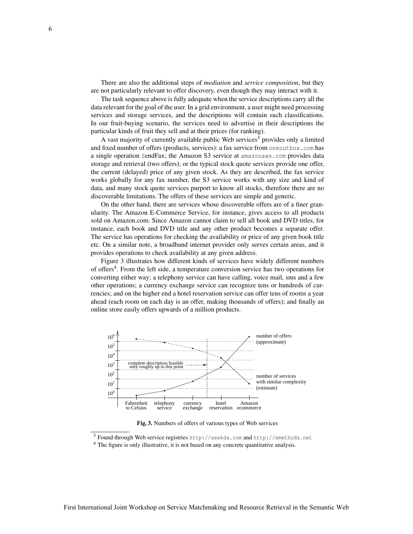There are also the additional steps of *mediation* and *service composition*, but they are not particularly relevant to offer discovery, even though they may interact with it.

The task sequence above is fully adequate when the service descriptions carry all the data relevant for the goal of the user. In a grid environment, a user might need processing services and storage services, and the descriptions will contain such classifications. In our fruit-buying scenario, the services need to advertise in their descriptions the particular kinds of fruit they sell and at their prices (for ranking).

A vast majority of currently available public Web services<sup>3</sup> provides only a limited and fixed number of offers (products, services): a fax service from oneoutbox.com has a single operation SendFax; the Amazon S3 service at amazonaws.com provides data storage and retrieval (two offers); or the typical stock quote services provide one offer, the current (delayed) price of any given stock. As they are described, the fax service works globally for any fax number, the S3 service works with any size and kind of data, and many stock quote services purport to know all stocks, therefore there are no discoverable limitations. The offers of these services are simple and generic.

On the other hand, there are services whose discoverable offers are of a finer granularity. The Amazon E-Commerce Service, for instance, gives access to all products sold on Amazon.com. Since Amazon cannot claim to sell all book and DVD titles, for instance, each book and DVD title and any other product becomes a separate offer. The service has operations for checking the availability or price of any given book title etc. On a similar note, a broadband internet provider only serves certain areas, and it provides operations to check availability at any given address.

Figure 3 illustrates how different kinds of services have widely different numbers of offers<sup>4</sup>. From the left side, a temperature conversion service has two operations for converting either way; a telephony service can have calling, voice mail, sms and a few other operations; a currency exchange service can recognize tens or hundreds of currencies; and on the higher end a hotel reservation service can offer tens of rooms a year ahead (each room on each day is an offer, making thousands of offers); and finally an online store easily offers upwards of a million products.



Fig. 3. Numbers of offers of various types of Web services

<sup>3</sup> Found through Web service registries http://seekda.com and http://xmethods.net

<sup>4</sup> The figure is only illustrative, it is not based on any concrete quantitative analysis.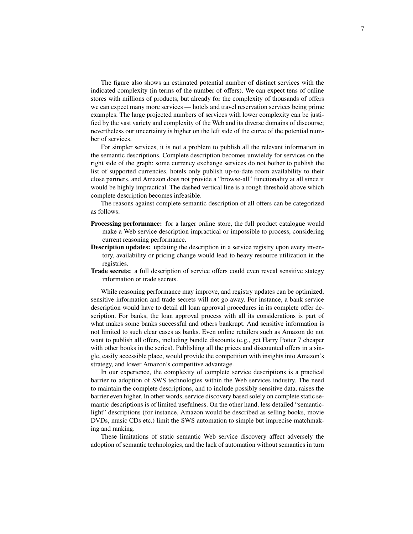The figure also shows an estimated potential number of distinct services with the indicated complexity (in terms of the number of offers). We can expect tens of online stores with millions of products, but already for the complexity of thousands of offers we can expect many more services — hotels and travel reservation services being prime examples. The large projected numbers of services with lower complexity can be justified by the vast variety and complexity of the Web and its diverse domains of discourse; nevertheless our uncertainty is higher on the left side of the curve of the potential number of services.

For simpler services, it is not a problem to publish all the relevant information in the semantic descriptions. Complete description becomes unwieldy for services on the right side of the graph: some currency exchange services do not bother to publish the list of supported currencies, hotels only publish up-to-date room availability to their close partners, and Amazon does not provide a "browse-all" functionality at all since it would be highly impractical. The dashed vertical line is a rough threshold above which complete description becomes infeasible.

The reasons against complete semantic description of all offers can be categorized as follows:

- Processing performance: for a larger online store, the full product catalogue would make a Web service description impractical or impossible to process, considering current reasoning performance.
- **Description updates:** updating the description in a service registry upon every inventory, availability or pricing change would lead to heavy resource utilization in the registries.
- Trade secrets: a full description of service offers could even reveal sensitive stategy information or trade secrets.

While reasoning performance may improve, and registry updates can be optimized, sensitive information and trade secrets will not go away. For instance, a bank service description would have to detail all loan approval procedures in its complete offer description. For banks, the loan approval process with all its considerations is part of what makes some banks successful and others bankrupt. And sensitive information is not limited to such clear cases as banks. Even online retailers such as Amazon do not want to publish all offers, including bundle discounts (e.g., get Harry Potter 7 cheaper with other books in the series). Publishing all the prices and discounted offers in a single, easily accessible place, would provide the competition with insights into Amazon's strategy, and lower Amazon's competitive advantage.

In our experience, the complexity of complete service descriptions is a practical barrier to adoption of SWS technologies within the Web services industry. The need to maintain the complete descriptions, and to include possibly sensitive data, raises the barrier even higher. In other words, service discovery based solely on complete static semantic descriptions is of limited usefulness. On the other hand, less detailed "semanticlight" descriptions (for instance, Amazon would be described as selling books, movie DVDs, music CDs etc.) limit the SWS automation to simple but imprecise matchmaking and ranking.

These limitations of static semantic Web service discovery affect adversely the adoption of semantic technologies, and the lack of automation without semantics in turn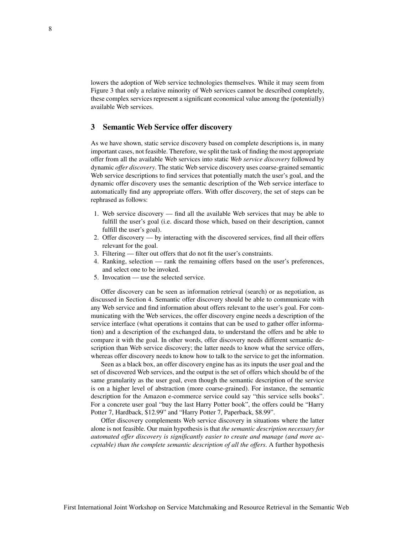lowers the adoption of Web service technologies themselves. While it may seem from Figure 3 that only a relative minority of Web services cannot be described completely, these complex services represent a significant economical value among the (potentially) available Web services.

### 3 Semantic Web Service offer discovery

As we have shown, static service discovery based on complete descriptions is, in many important cases, not feasible. Therefore, we split the task of finding the most appropriate offer from all the available Web services into static *Web service discovery* followed by dynamic *offer discovery*. The static Web service discovery uses coarse-grained semantic Web service descriptions to find services that potentially match the user's goal, and the dynamic offer discovery uses the semantic description of the Web service interface to automatically find any appropriate offers. With offer discovery, the set of steps can be rephrased as follows:

- 1. Web service discovery find all the available Web services that may be able to fulfill the user's goal (i.e. discard those which, based on their description, cannot fulfill the user's goal).
- 2. Offer discovery by interacting with the discovered services, find all their offers relevant for the goal.
- 3. Filtering filter out offers that do not fit the user's constraints.
- 4. Ranking, selection rank the remaining offers based on the user's preferences, and select one to be invoked.
- 5. Invocation use the selected service.

Offer discovery can be seen as information retrieval (search) or as negotiation, as discussed in Section 4. Semantic offer discovery should be able to communicate with any Web service and find information about offers relevant to the user's goal. For communicating with the Web services, the offer discovery engine needs a description of the service interface (what operations it contains that can be used to gather offer information) and a description of the exchanged data, to understand the offers and be able to compare it with the goal. In other words, offer discovery needs different semantic description than Web service discovery; the latter needs to know what the service offers, whereas offer discovery needs to know how to talk to the service to get the information.

Seen as a black box, an offer discovery engine has as its inputs the user goal and the set of discovered Web services, and the output is the set of offers which should be of the same granularity as the user goal, even though the semantic description of the service is on a higher level of abstraction (more coarse-grained). For instance, the semantic description for the Amazon e-commerce service could say "this service sells books". For a concrete user goal "buy the last Harry Potter book", the offers could be "Harry Potter 7, Hardback, \$12.99" and "Harry Potter 7, Paperback, \$8.99".

Offer discovery complements Web service discovery in situations where the latter alone is not feasible. Our main hypothesis is that *the semantic description necessary for automated offer discovery is significantly easier to create and manage (and more acceptable) than the complete semantic description of all the offers*. A further hypothesis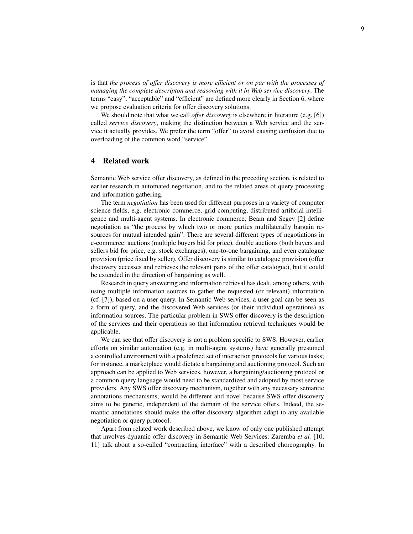is that *the process of offer discovery is more efficient or on par with the processes of managing the complete descripton and reasoning with it in Web service discovery*. The terms "easy", "acceptable" and "efficient" are defined more clearly in Section 6, where we propose evaluation criteria for offer discovery solutions.

We should note that what we call *offer discovery* is elsewhere in literature (e.g. [6]) called *service discovery*, making the distinction between a Web service and the service it actually provides. We prefer the term "offer" to avoid causing confusion due to overloading of the common word "service".

#### 4 Related work

Semantic Web service offer discovery, as defined in the preceding section, is related to earlier research in automated negotiation, and to the related areas of query processing and information gathering.

The term *negotiation* has been used for different purposes in a variety of computer science fields, e.g. electronic commerce, grid computing, distributed artificial intelligence and multi-agent systems. In electronic commerce, Beam and Segev [2] define negotiation as "the process by which two or more parties multilaterally bargain resources for mutual intended gain". There are several different types of negotiations in e-commerce: auctions (multiple buyers bid for price), double auctions (both buyers and sellers bid for price, e.g. stock exchanges), one-to-one bargaining, and even catalogue provision (price fixed by seller). Offer discovery is similar to catalogue provision (offer discovery accesses and retrieves the relevant parts of the offer catalogue), but it could be extended in the direction of bargaining as well.

Research in query answering and information retrieval has dealt, among others, with using multiple information sources to gather the requested (or relevant) information (cf. [7]), based on a user query. In Semantic Web services, a user goal can be seen as a form of query, and the discovered Web services (or their individual operations) as information sources. The particular problem in SWS offer discovery is the description of the services and their operations so that information retrieval techniques would be applicable.

We can see that offer discovery is not a problem specific to SWS. However, earlier efforts on similar automation (e.g. in multi-agent systems) have generally presumed a controlled environment with a predefined set of interaction protocols for various tasks; for instance, a marketplace would dictate a bargaining and auctioning protocol. Such an approach can be applied to Web services, however, a bargaining/auctioning protocol or a common query language would need to be standardized and adopted by most service providers. Any SWS offer discovery mechanism, together with any necessary semantic annotations mechanisms, would be different and novel because SWS offer discovery aims to be generic, independent of the domain of the service offers. Indeed, the semantic annotations should make the offer discovery algorithm adapt to any available negotiation or query protocol.

Apart from related work described above, we know of only one published attempt that involves dynamic offer discovery in Semantic Web Services: Zaremba *et al.* [10, 11] talk about a so-called "contracting interface" with a described choreography. In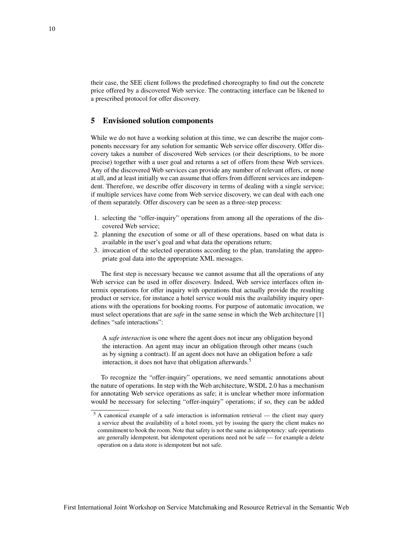their case, the SEE client follows the predefined choreography to find out the concrete price offered by a discovered Web service. The contracting interface can be likened to a prescribed protocol for offer discovery.

#### 5 Envisioned solution components

While we do not have a working solution at this time, we can describe the major components necessary for any solution for semantic Web service offer discovery. Offer discovery takes a number of discovered Web services (or their descriptions, to be more precise) together with a user goal and returns a set of offers from these Web services. Any of the discovered Web services can provide any number of relevant offers, or none at all, and at least initially we can assume that offers from different services are independent. Therefore, we describe offer discovery in terms of dealing with a single service; if multiple services have come from Web service discovery, we can deal with each one of them separately. Offer discovery can be seen as a three-step process:

- 1. selecting the "offer-inquiry" operations from among all the operations of the discovered Web service;
- 2. planning the execution of some or all of these operations, based on what data is available in the user's goal and what data the operations return;
- 3. invocation of the selected operations according to the plan, translating the appropriate goal data into the appropriate XML messages.

The first step is necessary because we cannot assume that all the operations of any Web service can be used in offer discovery. Indeed, Web service interfaces often intermix operations for offer inquiry with operations that actually provide the resulting product or service, for instance a hotel service would mix the availability inquiry operations with the operations for booking rooms. For purpose of automatic invocation, we must select operations that are *safe* in the same sense in which the Web architecture [1] defines "safe interactions":

A *safe interaction* is one where the agent does not incur any obligation beyond the interaction. An agent may incur an obligation through other means (such as by signing a contract). If an agent does not have an obligation before a safe interaction, it does not have that obligation afterwards.<sup>5</sup>

To recognize the "offer-inquiry" operations, we need semantic annotations about the nature of operations. In step with the Web architecture, WSDL 2.0 has a mechanism for annotating Web service operations as safe; it is unclear whether more information would be necessary for selecting "offer-inquiry" operations; if so, they can be added

 $5$  A canonical example of a safe interaction is information retrieval — the client may query a service about the availability of a hotel room, yet by issuing the query the client makes no commitment to book the room. Note that safety is not the same as idempotency: safe operations are generally idempotent, but idempotent operations need not be safe — for example a delete operation on a data store is idempotent but not safe.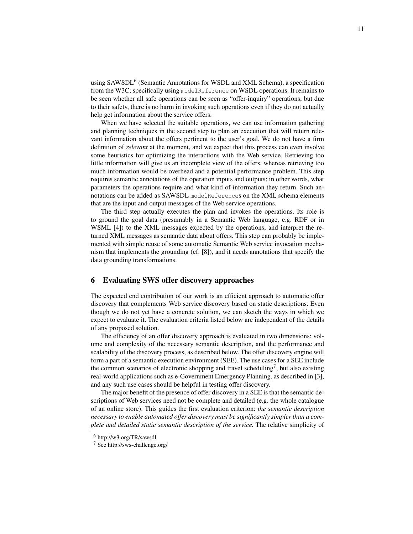using SAWSDL<sup>6</sup> (Semantic Annotations for WSDL and XML Schema), a specification from the W3C; specifically using modelReference on WSDL operations. It remains to be seen whether all safe operations can be seen as "offer-inquiry" operations, but due to their safety, there is no harm in invoking such operations even if they do not actually help get information about the service offers.

When we have selected the suitable operations, we can use information gathering and planning techniques in the second step to plan an execution that will return relevant information about the offers pertinent to the user's goal. We do not have a firm definition of *relevant* at the moment, and we expect that this process can even involve some heuristics for optimizing the interactions with the Web service. Retrieving too little information will give us an incomplete view of the offers, whereas retrieving too much information would be overhead and a potential performance problem. This step requires semantic annotations of the operation inputs and outputs; in other words, what parameters the operations require and what kind of information they return. Such annotations can be added as SAWSDL modelReferences on the XML schema elements that are the input and output messages of the Web service operations.

The third step actually executes the plan and invokes the operations. Its role is to ground the goal data (presumably in a Semantic Web language, e.g. RDF or in WSML [4]) to the XML messages expected by the operations, and interpret the returned XML messages as semantic data about offers. This step can probably be implemented with simple reuse of some automatic Semantic Web service invocation mechanism that implements the grounding (cf. [8]), and it needs annotations that specify the data grounding transformations.

#### 6 Evaluating SWS offer discovery approaches

The expected end contribution of our work is an efficient approach to automatic offer discovery that complements Web service discovery based on static descriptions. Even though we do not yet have a concrete solution, we can sketch the ways in which we expect to evaluate it. The evaluation criteria listed below are independent of the details of any proposed solution.

The efficiency of an offer discovery approach is evaluated in two dimensions: volume and complexity of the necessary semantic description, and the performance and scalability of the discovery process, as described below. The offer discovery engine will form a part of a semantic execution environment (SEE). The use cases for a SEE include the common scenarios of electronic shopping and travel scheduling<sup>7</sup>, but also existing real-world applications such as e-Government Emergency Planning, as described in [3], and any such use cases should be helpful in testing offer discovery.

The major benefit of the presence of offer discovery in a SEE is that the semantic descriptions of Web services need not be complete and detailed (e.g. the whole catalogue of an online store). This guides the first evaluation criterion: *the semantic description necessary to enable automated offer discovery must be significantly simpler than a complete and detailed static semantic description of the service.* The relative simplicity of

<sup>6</sup> http://w3.org/TR/sawsdl

<sup>7</sup> See http://sws-challenge.org/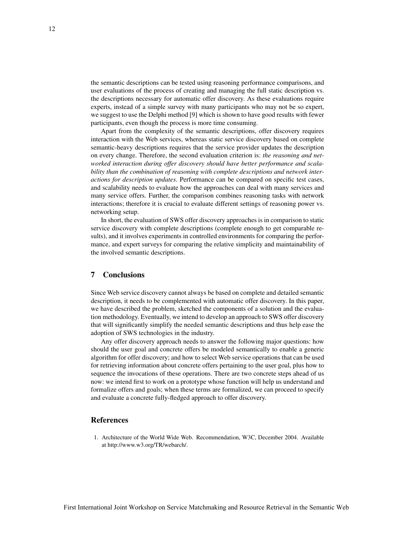the semantic descriptions can be tested using reasoning performance comparisons, and user evaluations of the process of creating and managing the full static description vs. the descriptions necessary for automatic offer discovery. As these evaluations require experts, instead of a simple survey with many participants who may not be so expert, we suggest to use the Delphi method [9] which is shown to have good results with fewer participants, even though the process is more time consuming.

Apart from the complexity of the semantic descriptions, offer discovery requires interaction with the Web services, whereas static service discovery based on complete semantic-heavy descriptions requires that the service provider updates the description on every change. Therefore, the second evaluation criterion is: *the reasoning and networked interaction during offer discovery should have better performance and scalability than the combination of reasoning with complete descriptions and network interactions for description updates*. Performance can be compared on specific test cases, and scalability needs to evaluate how the approaches can deal with many services and many service offers. Further, the comparison combines reasoning tasks with network interactions; therefore it is crucial to evaluate different settings of reasoning power vs. networking setup.

In short, the evaluation of SWS offer discovery approaches is in comparison to static service discovery with complete descriptions (complete enough to get comparable results), and it involves experiments in controlled environments for comparing the performance, and expert surveys for comparing the relative simplicity and maintainability of the involved semantic descriptions.

### 7 Conclusions

Since Web service discovery cannot always be based on complete and detailed semantic description, it needs to be complemented with automatic offer discovery. In this paper, we have described the problem, sketched the components of a solution and the evaluation methodology. Eventually, we intend to develop an approach to SWS offer discovery that will significantly simplify the needed semantic descriptions and thus help ease the adoption of SWS technologies in the industry.

Any offer discovery approach needs to answer the following major questions: how should the user goal and concrete offers be modeled semantically to enable a generic algorithm for offer discovery; and how to select Web service operations that can be used for retrieving information about concrete offers pertaining to the user goal, plus how to sequence the invocations of these operations. There are two concrete steps ahead of us now: we intend first to work on a prototype whose function will help us understand and formalize offers and goals; when these terms are formalized, we can proceed to specify and evaluate a concrete fully-fledged approach to offer discovery.

#### References

1. Architecture of the World Wide Web. Recommendation, W3C, December 2004. Available at http://www.w3.org/TR/webarch/.